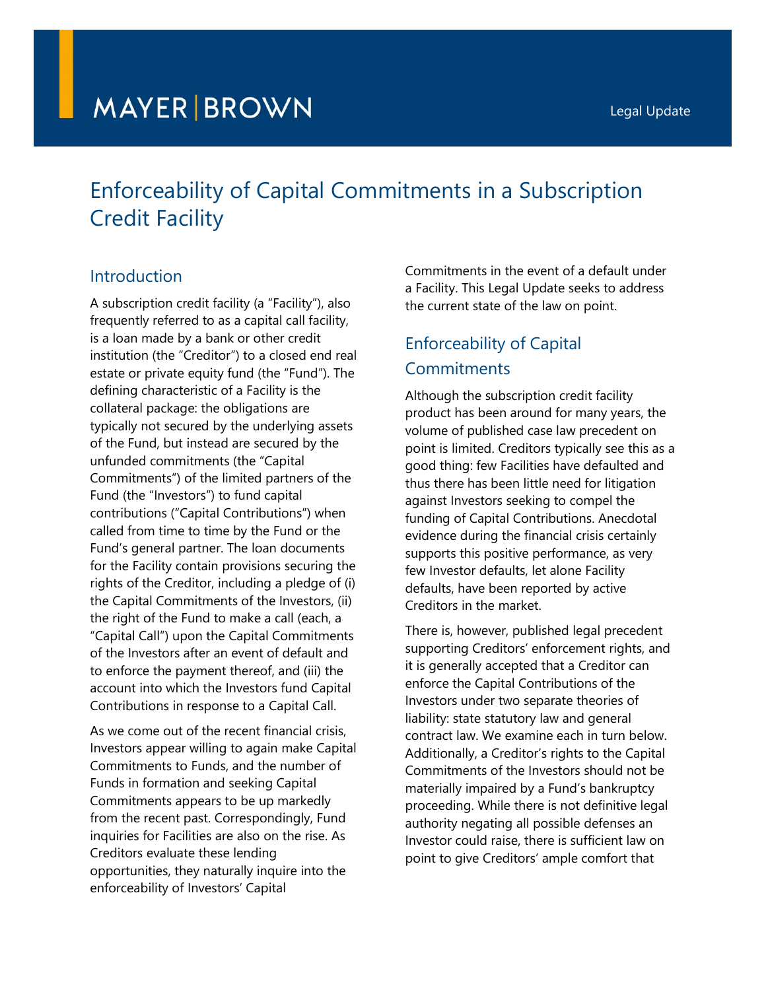# **MAYER BROWN**

# Enforceability of Capital Commitments in a Subscription Credit Facility

# Introduction

A subscription credit facility (a "Facility"), also frequently referred to as a capital call facility, is a loan made by a bank or other credit institution (the "Creditor") to a closed end real estate or private equity fund (the "Fund"). The defining characteristic of a Facility is the collateral package: the obligations are typically not secured by the underlying assets of the Fund, but instead are secured by the unfunded commitments (the "Capital Commitments") of the limited partners of the Fund (the "Investors") to fund capital contributions ("Capital Contributions") when called from time to time by the Fund or the Fund's general partner. The loan documents for the Facility contain provisions securing the rights of the Creditor, including a pledge of (i) the Capital Commitments of the Investors, (ii) the right of the Fund to make a call (each, a "Capital Call") upon the Capital Commitments of the Investors after an event of default and to enforce the payment thereof, and (iii) the account into which the Investors fund Capital Contributions in response to a Capital Call.

As we come out of the recent financial crisis, Investors appear willing to again make Capital Commitments to Funds, and the number of Funds in formation and seeking Capital Commitments appears to be up markedly from the recent past. Correspondingly, Fund inquiries for Facilities are also on the rise. As Creditors evaluate these lending opportunities, they naturally inquire into the enforceability of Investors' Capital

Commitments in the event of a default under a Facility. This Legal Update seeks to address the current state of the law on point.

# Enforceability of Capital **Commitments**

Although the subscription credit facility product has been around for many years, the volume of published case law precedent on point is limited. Creditors typically see this as a good thing: few Facilities have defaulted and thus there has been little need for litigation against Investors seeking to compel the funding of Capital Contributions. Anecdotal evidence during the financial crisis certainly supports this positive performance, as very few Investor defaults, let alone Facility defaults, have been reported by active Creditors in the market.

There is, however, published legal precedent supporting Creditors' enforcement rights, and it is generally accepted that a Creditor can enforce the Capital Contributions of the Investors under two separate theories of liability: state statutory law and general contract law. We examine each in turn below. Additionally, a Creditor's rights to the Capital Commitments of the Investors should not be materially impaired by a Fund's bankruptcy proceeding. While there is not definitive legal authority negating all possible defenses an Investor could raise, there is sufficient law on point to give Creditors' ample comfort that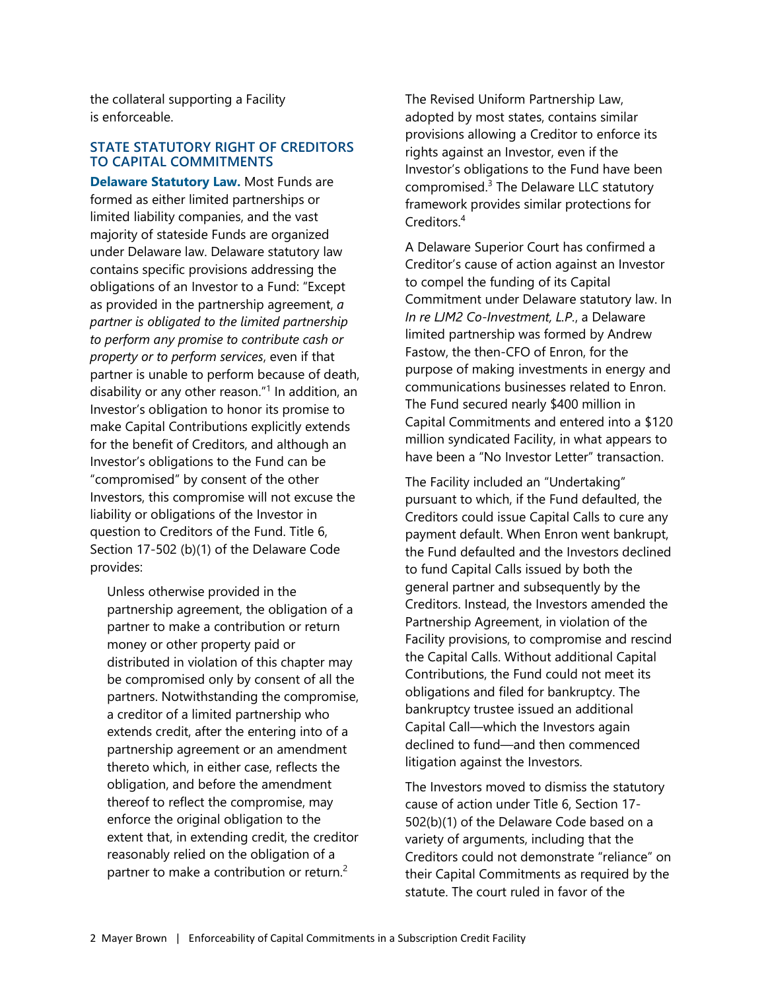the collateral supporting a Facility is enforceable.

#### **STATE STATUTORY RIGHT OF CREDITORS TO CAPITAL COMMITMENTS**

**Delaware Statutory Law.** Most Funds are formed as either limited partnerships or limited liability companies, and the vast majority of stateside Funds are organized under Delaware law. Delaware statutory law contains specific provisions addressing the obligations of an Investor to a Fund: "Except as provided in the partnership agreement, *a partner is obligated to the limited partnership to perform any promise to contribute cash or property or to perform services*, even if that partner is unable to perform because of death, disability or any other reason."<sup>1</sup> In addition, an Investor's obligation to honor its promise to make Capital Contributions explicitly extends for the benefit of Creditors, and although an Investor's obligations to the Fund can be "compromised" by consent of the other Investors, this compromise will not excuse the liability or obligations of the Investor in question to Creditors of the Fund. Title 6, Section 17-502 (b)(1) of the Delaware Code provides:

Unless otherwise provided in the partnership agreement, the obligation of a partner to make a contribution or return money or other property paid or distributed in violation of this chapter may be compromised only by consent of all the partners. Notwithstanding the compromise, a creditor of a limited partnership who extends credit, after the entering into of a partnership agreement or an amendment thereto which, in either case, reflects the obligation, and before the amendment thereof to reflect the compromise, may enforce the original obligation to the extent that, in extending credit, the creditor reasonably relied on the obligation of a partner to make a contribution or return.<sup>2</sup>

The Revised Uniform Partnership Law, adopted by most states, contains similar provisions allowing a Creditor to enforce its rights against an Investor, even if the Investor's obligations to the Fund have been compromised.<sup>3</sup> The Delaware LLC statutory framework provides similar protections for Creditors.<sup>4</sup>

A Delaware Superior Court has confirmed a Creditor's cause of action against an Investor to compel the funding of its Capital Commitment under Delaware statutory law. In *In re LJM2 Co-Investment, L.P.*, a Delaware limited partnership was formed by Andrew Fastow, the then-CFO of Enron, for the purpose of making investments in energy and communications businesses related to Enron. The Fund secured nearly \$400 million in Capital Commitments and entered into a \$120 million syndicated Facility, in what appears to have been a "No Investor Letter" transaction.

The Facility included an "Undertaking" pursuant to which, if the Fund defaulted, the Creditors could issue Capital Calls to cure any payment default. When Enron went bankrupt, the Fund defaulted and the Investors declined to fund Capital Calls issued by both the general partner and subsequently by the Creditors. Instead, the Investors amended the Partnership Agreement, in violation of the Facility provisions, to compromise and rescind the Capital Calls. Without additional Capital Contributions, the Fund could not meet its obligations and filed for bankruptcy. The bankruptcy trustee issued an additional Capital Call—which the Investors again declined to fund—and then commenced litigation against the Investors.

The Investors moved to dismiss the statutory cause of action under Title 6, Section 17- 502(b)(1) of the Delaware Code based on a variety of arguments, including that the Creditors could not demonstrate "reliance" on their Capital Commitments as required by the statute. The court ruled in favor of the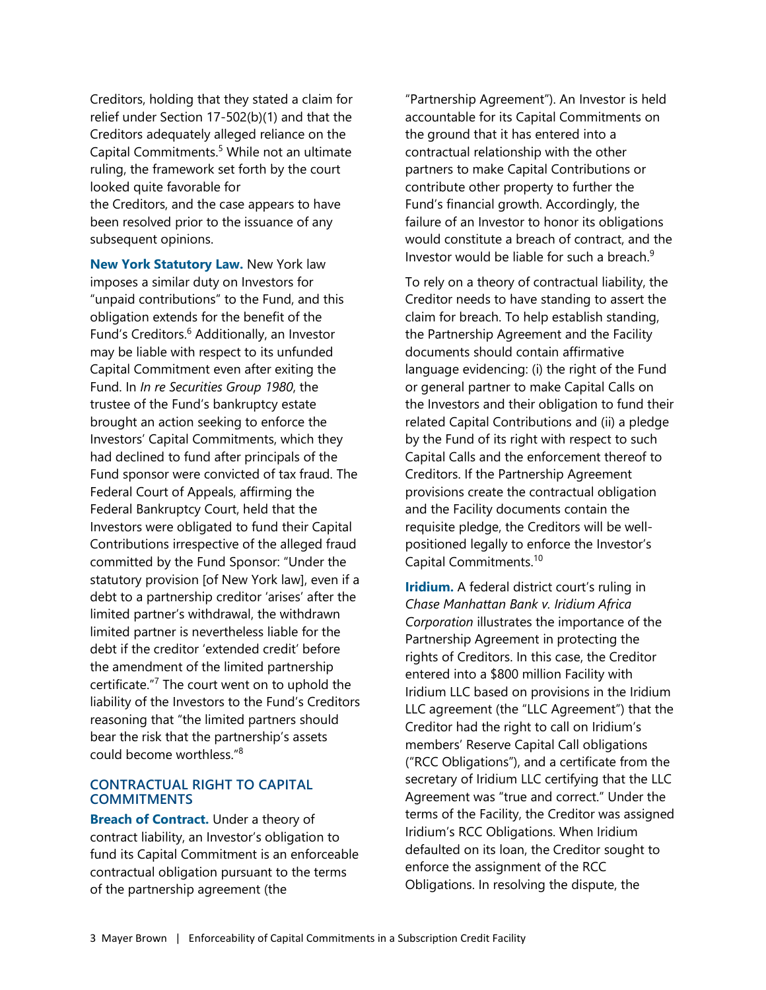Creditors, holding that they stated a claim for relief under Section 17-502(b)(1) and that the Creditors adequately alleged reliance on the Capital Commitments.<sup>5</sup> While not an ultimate ruling, the framework set forth by the court looked quite favorable for the Creditors, and the case appears to have been resolved prior to the issuance of any subsequent opinions.

**New York Statutory Law.** New York law imposes a similar duty on Investors for "unpaid contributions" to the Fund, and this obligation extends for the benefit of the Fund's Creditors.<sup>6</sup> Additionally, an Investor may be liable with respect to its unfunded Capital Commitment even after exiting the Fund. In *In re Securities Group 1980*, the trustee of the Fund's bankruptcy estate brought an action seeking to enforce the Investors' Capital Commitments, which they had declined to fund after principals of the Fund sponsor were convicted of tax fraud. The Federal Court of Appeals, affirming the Federal Bankruptcy Court, held that the Investors were obligated to fund their Capital Contributions irrespective of the alleged fraud committed by the Fund Sponsor: "Under the statutory provision [of New York law], even if a debt to a partnership creditor 'arises' after the limited partner's withdrawal, the withdrawn limited partner is nevertheless liable for the debt if the creditor 'extended credit' before the amendment of the limited partnership certificate."<sup>7</sup> The court went on to uphold the liability of the Investors to the Fund's Creditors reasoning that "the limited partners should bear the risk that the partnership's assets could become worthless."<sup>8</sup>

#### **CONTRACTUAL RIGHT TO CAPITAL COMMITMENTS**

**Breach of Contract.** Under a theory of contract liability, an Investor's obligation to fund its Capital Commitment is an enforceable contractual obligation pursuant to the terms of the partnership agreement (the

"Partnership Agreement"). An Investor is held accountable for its Capital Commitments on the ground that it has entered into a contractual relationship with the other partners to make Capital Contributions or contribute other property to further the Fund's financial growth. Accordingly, the failure of an Investor to honor its obligations would constitute a breach of contract, and the Investor would be liable for such a breach. $9$ 

To rely on a theory of contractual liability, the Creditor needs to have standing to assert the claim for breach. To help establish standing, the Partnership Agreement and the Facility documents should contain affirmative language evidencing: (i) the right of the Fund or general partner to make Capital Calls on the Investors and their obligation to fund their related Capital Contributions and (ii) a pledge by the Fund of its right with respect to such Capital Calls and the enforcement thereof to Creditors. If the Partnership Agreement provisions create the contractual obligation and the Facility documents contain the requisite pledge, the Creditors will be wellpositioned legally to enforce the Investor's Capital Commitments.<sup>10</sup>

**Iridium.** A federal district court's ruling in *Chase Manhattan Bank v. Iridium Africa Corporation* illustrates the importance of the Partnership Agreement in protecting the rights of Creditors. In this case, the Creditor entered into a \$800 million Facility with Iridium LLC based on provisions in the Iridium LLC agreement (the "LLC Agreement") that the Creditor had the right to call on Iridium's members' Reserve Capital Call obligations ("RCC Obligations"), and a certificate from the secretary of Iridium LLC certifying that the LLC Agreement was "true and correct." Under the terms of the Facility, the Creditor was assigned Iridium's RCC Obligations. When Iridium defaulted on its loan, the Creditor sought to enforce the assignment of the RCC Obligations. In resolving the dispute, the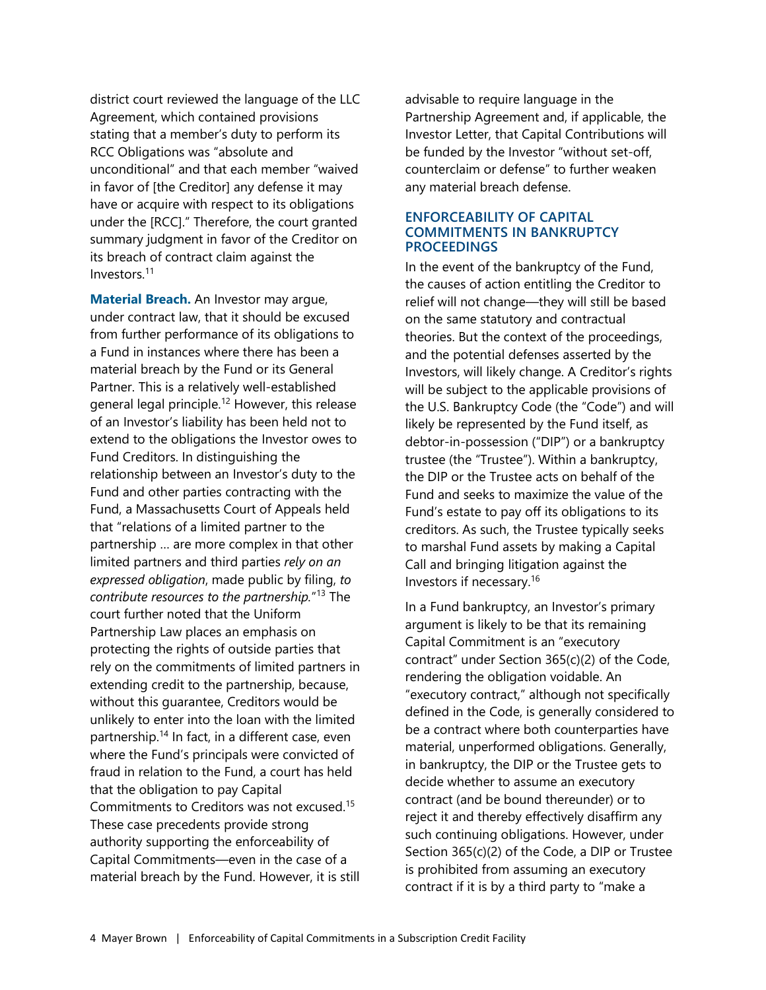district court reviewed the language of the LLC Agreement, which contained provisions stating that a member's duty to perform its RCC Obligations was "absolute and unconditional" and that each member "waived in favor of [the Creditor] any defense it may have or acquire with respect to its obligations under the [RCC]." Therefore, the court granted summary judgment in favor of the Creditor on its breach of contract claim against the Investors.<sup>11</sup>

**Material Breach.** An Investor may argue, under contract law, that it should be excused from further performance of its obligations to a Fund in instances where there has been a material breach by the Fund or its General Partner. This is a relatively well-established general legal principle.<sup>12</sup> However, this release of an Investor's liability has been held not to extend to the obligations the Investor owes to Fund Creditors. In distinguishing the relationship between an Investor's duty to the Fund and other parties contracting with the Fund, a Massachusetts Court of Appeals held that "relations of a limited partner to the partnership … are more complex in that other limited partners and third parties *rely on an expressed obligation*, made public by filing, *to contribute resources to the partnership.*" <sup>13</sup> The court further noted that the Uniform Partnership Law places an emphasis on protecting the rights of outside parties that rely on the commitments of limited partners in extending credit to the partnership, because, without this guarantee, Creditors would be unlikely to enter into the loan with the limited partnership.<sup>14</sup> In fact, in a different case, even where the Fund's principals were convicted of fraud in relation to the Fund, a court has held that the obligation to pay Capital Commitments to Creditors was not excused.<sup>15</sup> These case precedents provide strong authority supporting the enforceability of Capital Commitments—even in the case of a material breach by the Fund. However, it is still

advisable to require language in the Partnership Agreement and, if applicable, the Investor Letter, that Capital Contributions will be funded by the Investor "without set-off, counterclaim or defense" to further weaken any material breach defense.

#### **ENFORCEABILITY OF CAPITAL COMMITMENTS IN BANKRUPTCY PROCEEDINGS**

In the event of the bankruptcy of the Fund, the causes of action entitling the Creditor to relief will not change—they will still be based on the same statutory and contractual theories. But the context of the proceedings, and the potential defenses asserted by the Investors, will likely change. A Creditor's rights will be subject to the applicable provisions of the U.S. Bankruptcy Code (the "Code") and will likely be represented by the Fund itself, as debtor-in-possession ("DIP") or a bankruptcy trustee (the "Trustee"). Within a bankruptcy, the DIP or the Trustee acts on behalf of the Fund and seeks to maximize the value of the Fund's estate to pay off its obligations to its creditors. As such, the Trustee typically seeks to marshal Fund assets by making a Capital Call and bringing litigation against the Investors if necessary.<sup>16</sup>

In a Fund bankruptcy, an Investor's primary argument is likely to be that its remaining Capital Commitment is an "executory contract" under Section 365(c)(2) of the Code, rendering the obligation voidable. An "executory contract," although not specifically defined in the Code, is generally considered to be a contract where both counterparties have material, unperformed obligations. Generally, in bankruptcy, the DIP or the Trustee gets to decide whether to assume an executory contract (and be bound thereunder) or to reject it and thereby effectively disaffirm any such continuing obligations. However, under Section 365(c)(2) of the Code, a DIP or Trustee is prohibited from assuming an executory contract if it is by a third party to "make a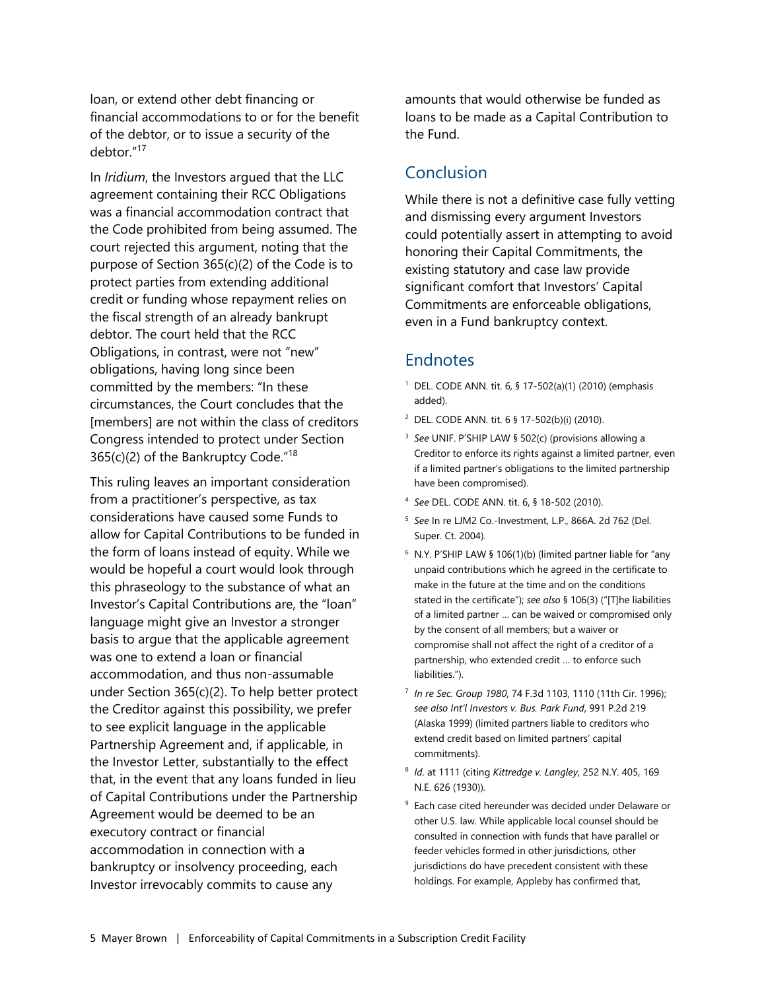loan, or extend other debt financing or financial accommodations to or for the benefit of the debtor, or to issue a security of the debtor."<sup>17</sup>

In *Iridium*, the Investors argued that the LLC agreement containing their RCC Obligations was a financial accommodation contract that the Code prohibited from being assumed. The court rejected this argument, noting that the purpose of Section 365(c)(2) of the Code is to protect parties from extending additional credit or funding whose repayment relies on the fiscal strength of an already bankrupt debtor. The court held that the RCC Obligations, in contrast, were not "new" obligations, having long since been committed by the members: "In these circumstances, the Court concludes that the [members] are not within the class of creditors Congress intended to protect under Section 365(c)(2) of the Bankruptcy Code."<sup>18</sup>

This ruling leaves an important consideration from a practitioner's perspective, as tax considerations have caused some Funds to allow for Capital Contributions to be funded in the form of loans instead of equity. While we would be hopeful a court would look through this phraseology to the substance of what an Investor's Capital Contributions are, the "loan" language might give an Investor a stronger basis to argue that the applicable agreement was one to extend a loan or financial accommodation, and thus non-assumable under Section 365(c)(2). To help better protect the Creditor against this possibility, we prefer to see explicit language in the applicable Partnership Agreement and, if applicable, in the Investor Letter, substantially to the effect that, in the event that any loans funded in lieu of Capital Contributions under the Partnership Agreement would be deemed to be an executory contract or financial accommodation in connection with a bankruptcy or insolvency proceeding, each Investor irrevocably commits to cause any

amounts that would otherwise be funded as loans to be made as a Capital Contribution to the Fund.

## Conclusion

While there is not a definitive case fully vetting and dismissing every argument Investors could potentially assert in attempting to avoid honoring their Capital Commitments, the existing statutory and case law provide significant comfort that Investors' Capital Commitments are enforceable obligations, even in a Fund bankruptcy context.

## **Endnotes**

- 1 DEL. CODE ANN. tit. 6, § 17-502(a)(1) (2010) (emphasis added).
- 2 DEL. CODE ANN. tit. 6 § 17-502(b)(i) (2010).
- 3 *See* UNIF. P'SHIP LAW § 502(c) (provisions allowing a Creditor to enforce its rights against a limited partner, even if a limited partner's obligations to the limited partnership have been compromised).
- 4 *See* DEL. CODE ANN. tit. 6, § 18-502 (2010).
- 5 *See* In re LJM2 Co.-Investment, L.P., 866A. 2d 762 (Del. Super. Ct. 2004).
- 6 N.Y. P'SHIP LAW § 106(1)(b) (limited partner liable for "any unpaid contributions which he agreed in the certificate to make in the future at the time and on the conditions stated in the certificate"); *see also* § 106(3) ("[T]he liabilities of a limited partner … can be waived or compromised only by the consent of all members; but a waiver or compromise shall not affect the right of a creditor of a partnership, who extended credit … to enforce such liabilities.").
- 7 *In re Sec. Group 1980*, 74 F.3d 1103, 1110 (11th Cir. 1996); *see also Int'l Investors v. Bus. Park Fund*, 991 P.2d 219 (Alaska 1999) (limited partners liable to creditors who extend credit based on limited partners' capital commitments).
- 8 *Id*. at 1111 (citing *Kittredge v. Langley*, 252 N.Y. 405, 169 N.E. 626 (1930)).
- 9 Each case cited hereunder was decided under Delaware or other U.S. law. While applicable local counsel should be consulted in connection with funds that have parallel or feeder vehicles formed in other jurisdictions, other jurisdictions do have precedent consistent with these holdings. For example, Appleby has confirmed that,